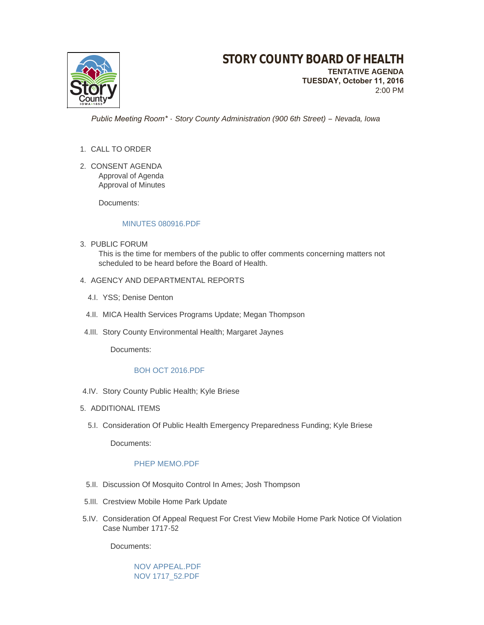

 **TUESDAY, October 11, 2016** 2:00 PM

 *Public Meeting Room\* - Story County Administration (900 6th Street) – Nevada, Iowa*

- 1. CALL TO ORDER
- 2. CONSENT AGENDA Approval of Agenda Approval of Minutes

Documents:

### [MINUTES 080916.PDF](http://www.storycountyiowa.gov/AgendaCenter/ViewFile/Item/7291?fileID=5371)

3. PUBLIC FORUM

This is the time for members of the public to offer comments concerning matters not scheduled to be heard before the Board of Health.

- 4. AGENCY AND DEPARTMENTAL REPORTS
	- 4.I. YSS; Denise Denton
	- 4.II. MICA Health Services Programs Update; Megan Thompson
- 4.III. Story County Environmental Health; Margaret Jaynes

Documents:

# [BOH OCT 2016.PDF](http://www.storycountyiowa.gov/AgendaCenter/ViewFile/Item/7390?fileID=5369)

- 4.IV. Story County Public Health; Kyle Briese
- 5. ADDITIONAL ITEMS
	- 5.I. Consideration Of Public Health Emergency Preparedness Funding; Kyle Briese

Documents:

### [PHEP MEMO.PDF](http://www.storycountyiowa.gov/AgendaCenter/ViewFile/Item/7939?fileID=5376)

- 5.II. Discussion Of Mosquito Control In Ames; Josh Thompson
- 5.III. Crestview Mobile Home Park Update
- 5.IV. Consideration Of Appeal Request For Crest View Mobile Home Park Notice Of Violation Case Number 1717-52

Documents:

[NOV APPEAL.PDF](http://www.storycountyiowa.gov/AgendaCenter/ViewFile/Item/7952?fileID=5378) [NOV 1717\\_52.PDF](http://www.storycountyiowa.gov/AgendaCenter/ViewFile/Item/7952?fileID=5379)